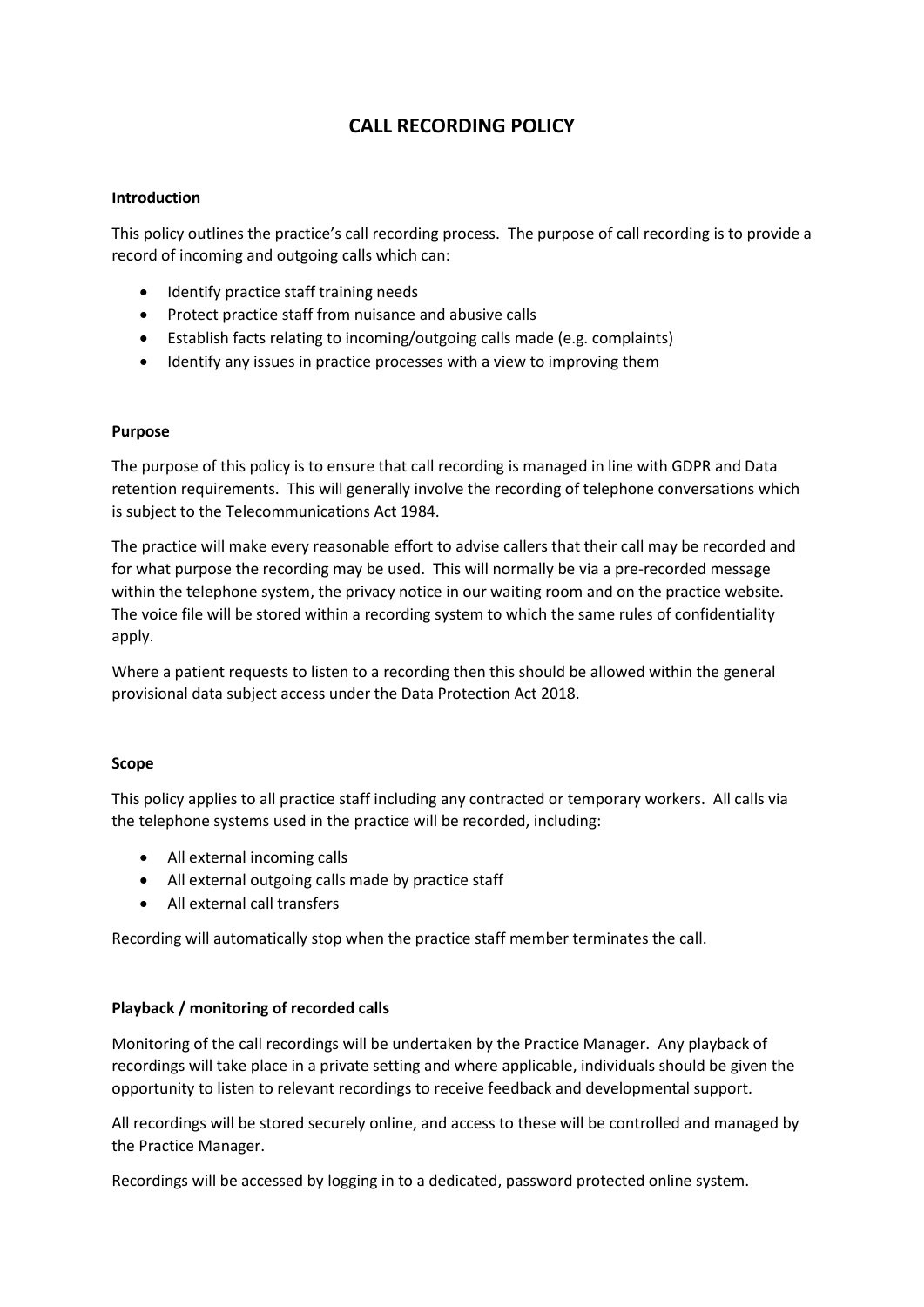# **CALL RECORDING POLICY**

### **Introduction**

This policy outlines the practice's call recording process. The purpose of call recording is to provide a record of incoming and outgoing calls which can:

- Identify practice staff training needs
- Protect practice staff from nuisance and abusive calls
- Establish facts relating to incoming/outgoing calls made (e.g. complaints)
- Identify any issues in practice processes with a view to improving them

#### **Purpose**

The purpose of this policy is to ensure that call recording is managed in line with GDPR and Data retention requirements. This will generally involve the recording of telephone conversations which is subject to the Telecommunications Act 1984.

The practice will make every reasonable effort to advise callers that their call may be recorded and for what purpose the recording may be used. This will normally be via a pre-recorded message within the telephone system, the privacy notice in our waiting room and on the practice website. The voice file will be stored within a recording system to which the same rules of confidentiality apply.

Where a patient requests to listen to a recording then this should be allowed within the general provisional data subject access under the Data Protection Act 2018.

### **Scope**

This policy applies to all practice staff including any contracted or temporary workers. All calls via the telephone systems used in the practice will be recorded, including:

- All external incoming calls
- All external outgoing calls made by practice staff
- All external call transfers

Recording will automatically stop when the practice staff member terminates the call.

### **Playback / monitoring of recorded calls**

Monitoring of the call recordings will be undertaken by the Practice Manager. Any playback of recordings will take place in a private setting and where applicable, individuals should be given the opportunity to listen to relevant recordings to receive feedback and developmental support.

All recordings will be stored securely online, and access to these will be controlled and managed by the Practice Manager.

Recordings will be accessed by logging in to a dedicated, password protected online system.